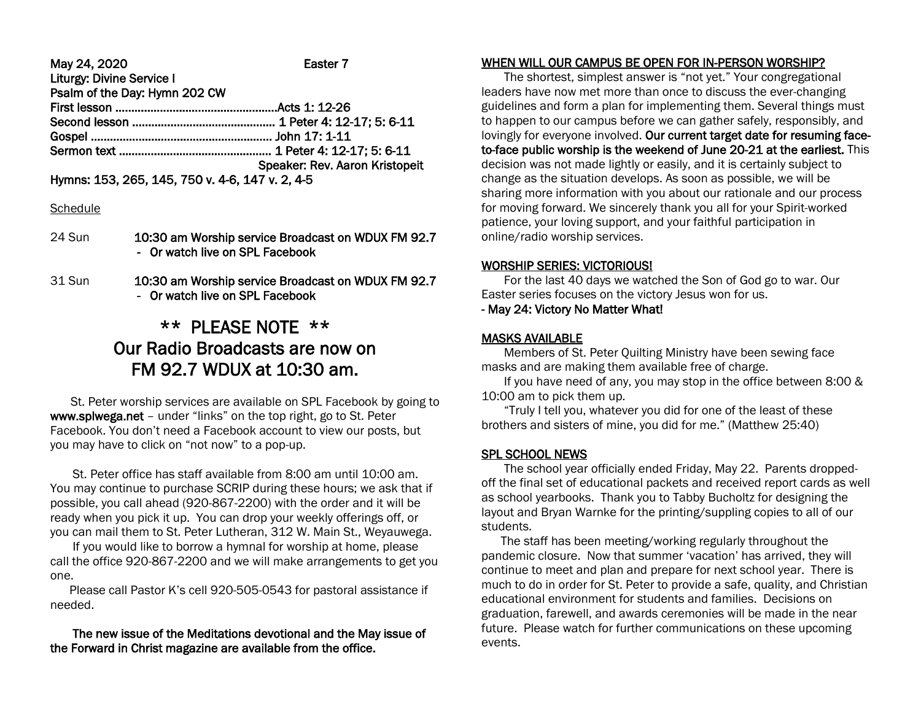May 24, 2020 Easter 7 Liturgy: Divine Service I Psalm of the Day: Hymn 202 CW First lesson ……………………………………………Acts 1: 12-26 Second lesson ……………………………………… 1 Peter 4: 12-17; 5: 6-11 Gospel ………………………..………………………. John 17: 1-11 Sermon text ………………………………………… 1 Peter 4: 12-17; 5: 6-11 Speaker: Rev. Aaron Kristopeit

Hymns: 153, 265, 145, 750 v. 4-6, 147 v. 2, 4-5

### **Schedule**

- 24 Sun 10:30 am Worship service Broadcast on WDUX FM 92.7 - Or watch live on SPL Facebook
- 31 Sun 10:30 am Worship service Broadcast on WDUX FM 92.7 - Or watch live on SPL Facebook

# \*\* PLEASE NOTE \*\* Our Radio Broadcasts are now on FM 92.7 WDUX at 10:30 am.

 St. Peter worship services are available on SPL Facebook by going to www.splwega.net – under "links" on the top right, go to St. Peter Facebook. You don't need a Facebook account to view our posts, but you may have to click on "not now" to a pop-up.

 St. Peter office has staff available from 8:00 am until 10:00 am. You may continue to purchase SCRIP during these hours; we ask that if possible, you call ahead (920-867-2200) with the order and it will be ready when you pick it up. You can drop your weekly offerings off, or you can mail them to St. Peter Lutheran, 312 W. Main St., Weyauwega.

 If you would like to borrow a hymnal for worship at home, please call the office 920-867-2200 and we will make arrangements to get you one.

 Please call Pastor K's cell 920-505-0543 for pastoral assistance if needed.

## The new issue of the Meditations devotional and the May issue of the Forward in Christ magazine are available from the office.

# WHEN WILL OUR CAMPUS BE OPEN FOR IN-PERSON WORSHIP?

 The shortest, simplest answer is "not yet." Your congregational leaders have now met more than once to discuss the ever-changing guidelines and form a plan for implementing them. Several things must to happen to our campus before we can gather safely, responsibly, and lovingly for everyone involved. Our current target date for resuming faceto-face public worship is the weekend of June 20-21 at the earliest. This decision was not made lightly or easily, and it is certainly subject to change as the situation develops. As soon as possible, we will be sharing more information with you about our rationale and our process for moving forward. We sincerely thank you all for your Spirit-worked patience, your loving support, and your faithful participation in online/radio worship services.

## WORSHIP SERIES: VICTORIOUS!

 For the last 40 days we watched the Son of God go to war. Our Easter series focuses on the victory Jesus won for us.

## - May 24: Victory No Matter What!

# MASKS AVAILABLE

 Members of St. Peter Quilting Ministry have been sewing face masks and are making them available free of charge.

 If you have need of any, you may stop in the office between 8:00 & 10:00 am to pick them up.

 "Truly I tell you, whatever you did for one of the least of these brothers and sisters of mine, you did for me." (Matthew 25:40)

# SPL SCHOOL NEWS

 The school year officially ended Friday, May 22. Parents droppedoff the final set of educational packets and received report cards as well as school yearbooks. Thank you to Tabby Bucholtz for designing the layout and Bryan Warnke for the printing/suppling copies to all of our students.

 The staff has been meeting/working regularly throughout the pandemic closure. Now that summer 'vacation' has arrived, they will continue to meet and plan and prepare for next school year. There is much to do in order for St. Peter to provide a safe, quality, and Christian educational environment for students and families. Decisions on graduation, farewell, and awards ceremonies will be made in the near future. Please watch for further communications on these upcoming events.